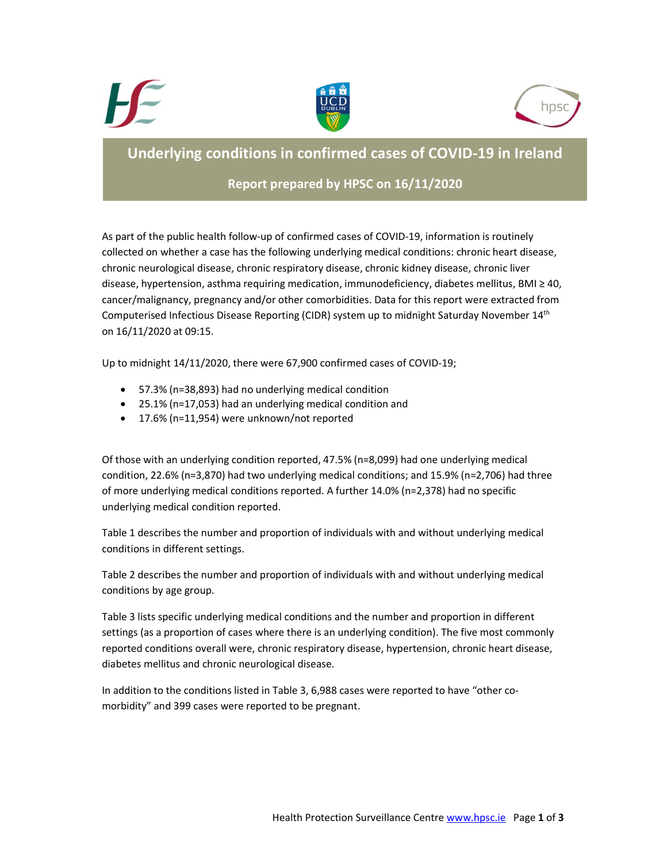





# Underlying conditions in confirmed cases of COVID-19 in Ireland

## Report prepared by HPSC on 16/11/2020

As part of the public health follow-up of confirmed cases of COVID-19, information is routinely collected on whether a case has the following underlying medical conditions: chronic heart disease, chronic neurological disease, chronic respiratory disease, chronic kidney disease, chronic liver disease, hypertension, asthma requiring medication, immunodeficiency, diabetes mellitus, BMI ≥ 40, cancer/malignancy, pregnancy and/or other comorbidities. Data for this report were extracted from Computerised Infectious Disease Reporting (CIDR) system up to midnight Saturday November 14<sup>th</sup> on 16/11/2020 at 09:15.

Up to midnight 14/11/2020, there were 67,900 confirmed cases of COVID-19;

- 57.3% (n=38,893) had no underlying medical condition
- 25.1% (n=17,053) had an underlying medical condition and
- 17.6% (n=11,954) were unknown/not reported

Of those with an underlying condition reported, 47.5% (n=8,099) had one underlying medical condition, 22.6% (n=3,870) had two underlying medical conditions; and 15.9% (n=2,706) had three of more underlying medical conditions reported. A further 14.0% (n=2,378) had no specific underlying medical condition reported.

Table 1 describes the number and proportion of individuals with and without underlying medical conditions in different settings.

Table 2 describes the number and proportion of individuals with and without underlying medical conditions by age group.

Table 3 lists specific underlying medical conditions and the number and proportion in different settings (as a proportion of cases where there is an underlying condition). The five most commonly reported conditions overall were, chronic respiratory disease, hypertension, chronic heart disease, diabetes mellitus and chronic neurological disease.

In addition to the conditions listed in Table 3, 6,988 cases were reported to have "other comorbidity" and 399 cases were reported to be pregnant.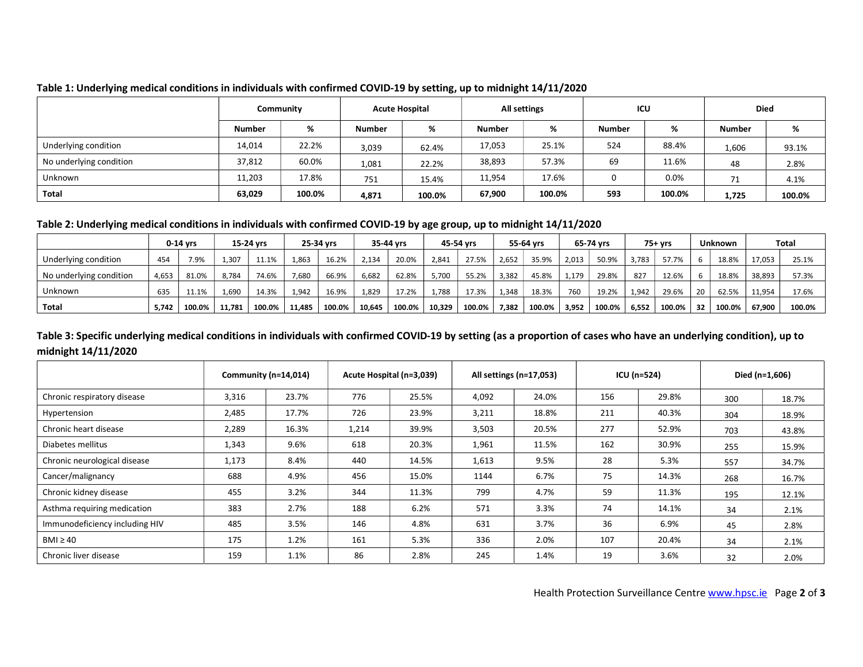|                         | Community     |        | <b>Acute Hospital</b> |        | All settings  |        | ICU    |        | <b>Died</b>   |        |
|-------------------------|---------------|--------|-----------------------|--------|---------------|--------|--------|--------|---------------|--------|
|                         | <b>Number</b> | %      | <b>Number</b>         | %      | <b>Number</b> | %      | Number | %      | <b>Number</b> | %      |
| Underlying condition    | 14,014        | 22.2%  | 3,039                 | 62.4%  | 17,053        | 25.1%  | 524    | 88.4%  | 1,606         | 93.1%  |
| No underlying condition | 37,812        | 60.0%  | 1,081                 | 22.2%  | 38,893        | 57.3%  | 69     | 11.6%  | 48            | 2.8%   |
| Unknown                 | 11,203        | 17.8%  | 751                   | 15.4%  | 11,954        | 17.6%  |        | 0.0%   | 71            | 4.1%   |
| Total                   | 63,029        | 100.0% | 4,871                 | 100.0% | 67,900        | 100.0% | 593    | 100.0% | 1,725         | 100.0% |

#### Table 1: Underlying medical conditions in individuals with confirmed COVID-19 by setting, up to midnight 14/11/2020

#### Table 2: Underlying medical conditions in individuals with confirmed COVID-19 by age group, up to midnight 14/11/2020

|                         |       | 15-24 vrs<br>$0-14$ vrs |        | 25-34 vrs |        | 35-44 vrs |        | 45-54 vrs |        | 55-64 vrs |       | 65-74 vrs |       | 75+ vrs |       | <b>Unknown</b> |     | Total  |        |        |
|-------------------------|-------|-------------------------|--------|-----------|--------|-----------|--------|-----------|--------|-----------|-------|-----------|-------|---------|-------|----------------|-----|--------|--------|--------|
| Underlying condition    | 454   | 7.9%                    | 1,307  | 11.1%     | 1,863  | 16.2%     | 2.134  | 20.0%     | 2.841  | 27.5%     | 2,652 | 35.9%     | 2,013 | 50.9%   | 1.783 | 57.7%          |     | 18.8%  | 17,053 | 25.1%  |
| No underlying condition | 4,653 | 81.0%                   | 8,784  | 74.6%     | 7,680  | 66.9%     | 6,682  | 62.8%     | 5,700  | 55.2%     | 3,382 | 45.8%     | 1,179 | 29.8%   | 827   | 12.6%          |     | 18.8%  | 38,893 | 57.3%  |
| Unknown                 | 635   | 11.1%                   | 1,690  | 14.3%     | 1,942  | 16.9%     | 1,829  | 17.2%     | 1,788  | 17.3%     | 1.348 | 18.3%     | 760   | 19.2%   | 1.942 | 29.6%          | 20  | 62.5%  | 11,954 | 17.6%  |
| Total                   | 5.742 | 100.0%                  | 11.781 | 100.0%    | 11.485 | 100.0%    | 10.645 | 100.0%    | 10,329 | 100.0%    | 7.382 | 100.0%    | 3.952 | 100.0%  | 6.552 | 100.0%         | -32 | 100.0% | 67.900 | 100.0% |

### Table 3: Specific underlying medical conditions in individuals with confirmed COVID-19 by setting (as a proportion of cases who have an underlying condition), up to midnight 14/11/2020

|                                | Community (n=14,014) |       |       | Acute Hospital (n=3,039) |       | All settings (n=17,053) |     | ICU (n=524) | Died (n=1,606) |       |  |
|--------------------------------|----------------------|-------|-------|--------------------------|-------|-------------------------|-----|-------------|----------------|-------|--|
| Chronic respiratory disease    | 3,316                | 23.7% | 776   | 25.5%                    | 4,092 | 24.0%                   | 156 | 29.8%       | 300            | 18.7% |  |
| Hypertension                   | 2,485                | 17.7% | 726   | 23.9%                    | 3,211 | 18.8%                   | 211 | 40.3%       | 304            | 18.9% |  |
| Chronic heart disease          | 2,289                | 16.3% | 1,214 | 39.9%                    | 3,503 | 20.5%                   | 277 | 52.9%       | 703            | 43.8% |  |
| Diabetes mellitus              | 1,343                | 9.6%  | 618   | 20.3%                    | 1,961 | 11.5%                   | 162 | 30.9%       | 255            | 15.9% |  |
| Chronic neurological disease   | 1,173                | 8.4%  | 440   | 14.5%                    | 1,613 | 9.5%                    | 28  | 5.3%        | 557            | 34.7% |  |
| Cancer/malignancy              | 688                  | 4.9%  | 456   | 15.0%                    | 1144  | 6.7%                    | 75  | 14.3%       | 268            | 16.7% |  |
| Chronic kidney disease         | 455                  | 3.2%  | 344   | 11.3%                    | 799   | 4.7%                    | 59  | 11.3%       | 195            | 12.1% |  |
| Asthma requiring medication    | 383                  | 2.7%  | 188   | 6.2%                     | 571   | 3.3%                    | 74  | 14.1%       | 34             | 2.1%  |  |
| Immunodeficiency including HIV | 485                  | 3.5%  | 146   | 4.8%                     | 631   | 3.7%                    | 36  | 6.9%        | 45             | 2.8%  |  |
| $BMI \geq 40$                  | 175                  | 1.2%  | 161   | 5.3%                     | 336   | 2.0%                    | 107 | 20.4%       | 34             | 2.1%  |  |
| Chronic liver disease          | 159                  | 1.1%  | 86    | 2.8%                     | 245   | 1.4%                    | 19  | 3.6%        | 32             | 2.0%  |  |

Health Protection Surveillance Centre www.hpsc.ie Page 2 of 3